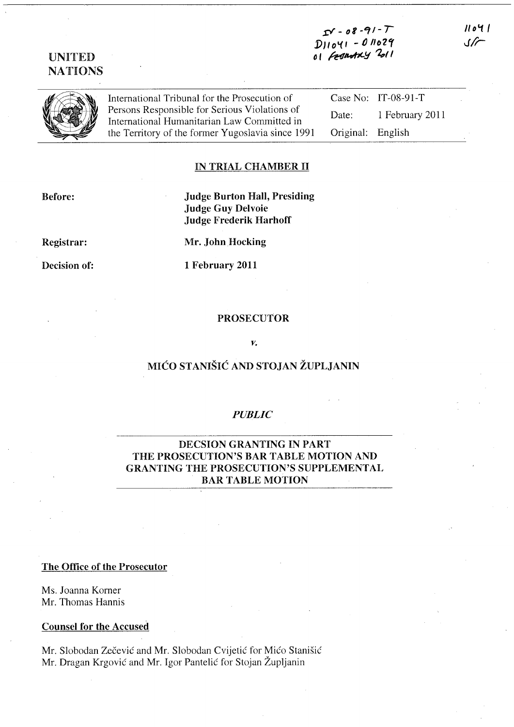# $s = 08 - 91 - T$ *j)}lo\(1* -I) *1102,*  o1 Fesantay 2011

NATIONS

UNITED

International Tribunal for the Prosecution of Persons Responsible for Serious Violations of International Humanitarian Law Committed in the Territory of the former Yugoslavia since 1991

Case No: IT-08-91-T Date: 1 February 2011 Original: English

# IN TRIAL CHAMBER 11

Before:

Judge Burton Hall, Presiding Judge Guy Delvoie Judge Frederik Harhoff

Registrar:

Decision of:

1 February 2011

Mr. John Hocking

#### PROSECUTOR

*v.* 

# MICO STANISIC AND STOJAN ZUPLJANIN

## *PUBLIC*

## DECSION GRANTING IN PART THE PROSECUTION'S BAR TABLE MOTION AND GRANTING THE PROSECUTION'S SUPPLEMENTAL BAR TABLE MOTION

## The Office of the Prosecutor

Ms. Joanna Korner Mr. Thomas Hannis

#### Counsel for the Accused

Mr. Slobodan Zečević and Mr. Slobodan Cvijetić for Mićo Stanišić Mr. Dragan Krgovic and Mr. Igor Pantelic for Stojan Zupljanin

 $11041$  $\sqrt{2}$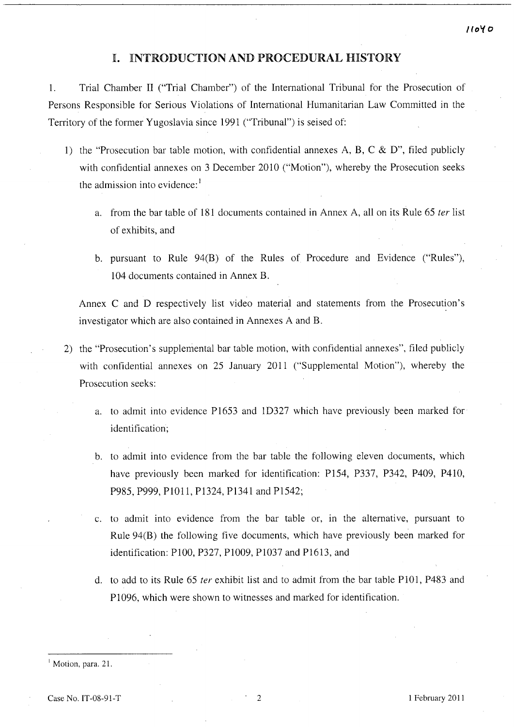# **I.** INTRODUCTION AND PROCEDURAL HISTORY

1. Trial Chamber II ("Trial Chamber") of the International Tribunal for the Prosecution of Persons Responsible for Serious Violations of International Humanitarian Law Committed in the Territory of the former Yugoslavia since 1991 ("Tribunal") is seised of:

- 1) the "Prosecution bar table motion, with confidential annexes A, B, C & D", filed publicly with confidential annexes on 3 December 2010 ("Motion"), whereby the Prosecution seeks the admission into evidence:<sup>1</sup>
	- a. from the bar table of 181 documents contained in Annex A, all on its Rule 65 *ter* list of exhibits, and
	- b. pursuant to Rule 94(B) of the Rules of Procedure and Evidence ("Rules"), 104 documents contained in Annex B.

Annex C and D respectively list video material and statements from the Prosecution's investigator which are also contained in Annexes A and B.

- 2) the "Prosecution's supplemental bar table motion, with confidential annexes", filed publicly with confidential annexes on 25 January 2011 ("Supplemental Motion"), whereby the Prosecution seeks:
	- a. to admit into evidence P1653 and ID327 which have previously been marked for identification;
	- b. to admit into evidence from the bar table the following eleven documents, which have previously been marked for identification: P154, P337, P342, P409, P41O, P985, P999, PlOl1, P1324, P1341 and P1542;
	- c. to admit into evidence from the bar table or, In the alternative, pursuant to Rule 94(B) the following five documents, which have previously been marked for identification: PlOO, P327, PlO09, P1037 and PI613, and
	- d. to add to its Rule 65 *ter* exhibit list and to admit from the bar table PlOl, P483 and P1096, which were shown to witnesses and marked for identification.

<sup>1</sup> Motion, para. 21.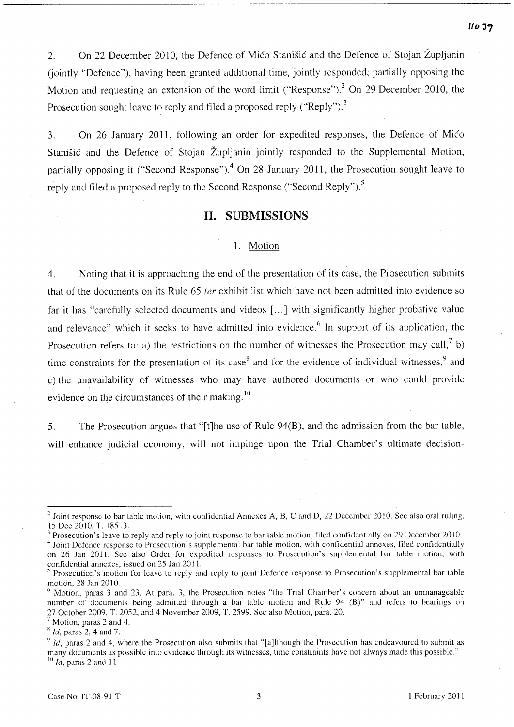2. On 22 December 2010, the Defence of Mico Stanisic and the Defence of Stojan Zupljanin (jointly "Defence"), having been granted additional time, jointly responded, partially opposing the Motion and requesting an extension of the word limit ("Response").<sup>2</sup> On 29 December 2010, the Prosecution sought leave to reply and filed a proposed reply ("Reply").<sup>3</sup>

3. On 26 January 2011, following an order for expedited responses, the Defence of Mico Stanišić and the Defence of Stojan Župljanin jointly responded to the Supplemental Motion, partially opposing it ("Second Response").<sup>4</sup> On 28 January 2011, the Prosecution sought leave to reply and filed a proposed reply to the Second Response ("Second Reply").<sup>5</sup>

# H. SUBMISSIONS

#### 1. Motion

4. Noting that it is approaching the end of the presentation of its case, the Prosecution submits that of the documents on its Rule 65 fer exhibit list which have not been admitted into evidence so far it has "carefully selected documents and videos [...] with significantly higher probative value and relevance" which it seeks to have admitted into evidence.<sup>6</sup> In support of its application, the Prosecution refers to: a) the restrictions on the number of witnesses the Prosecution may call, b) time constraints for the presentation of its case<sup>8</sup> and for the evidence of individual witnesses,  $9^9$  and c) the unavailability of witnesses who may have authored documents or who could provide evidence on the circumstances of their making.<sup>10</sup>

5. The Prosecution argues that "[t]he use of Rule 94(B), and the admission from the bar table, will enhance judicial economy, will not impinge upon the Trial Chamber's ultimate decision-

<sup>&</sup>lt;sup>2</sup> Joint response to bar table motion, with confidential Annexes A, B, C and D, 22 December 2010. See also oral ruling, 15 Dec 2010, T. 18513.

 $3$  Prosecution's leave to reply and reply to joint response to bar table motion, filed confidentially on 29 December 2010.

<sup>4</sup> Joint Defence response to Prosecution's supplemental bar table motion, with confidential annexes, filed confidentially on 26 Jan 2011. See also Order for expedited responses to Prosecution's supplemental bar table motion, with confidential annexes, issued on 25 Jan 2011.

<sup>&</sup>lt;sup>5</sup> Prosecution's motion for leave to reply and reply to joint Defence response to Prosecution's supplemental bar table motion, 28 Jan 2010.

 $6$  Motion, paras 3 and 23. At para. 3, the Prosecution notes "the Trial Chamber's concern about an unmanageable number of documents being admitted through a bar table motion and Rule 94 (B)" and refers to hearings on 27 October 2009, T. 2052, and 4 November 2009, T. 2599. See also Motion, para. 20.

Motion, paras 2 and 4.

x *Id,* paras 2, 4 and 7. .

<sup>&</sup>lt;sup>9</sup> *Id*, paras 2 and 4, where the Prosecution also submits that "[a]lthough the Prosecution has endeavoured to submit as many documents as possible into evidence through its witnesses, time constraints have not always made this possible." <sup>10</sup> *Id*, paras 2 and 11.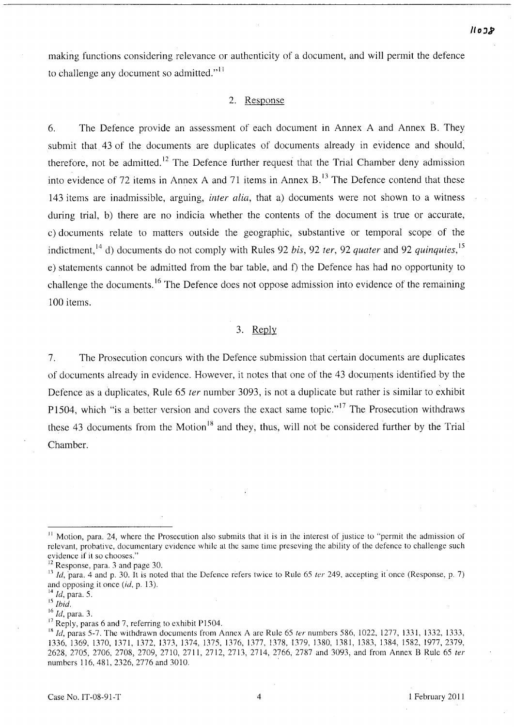making functions considering relevance or authenticity of a document, and will permit the defence to challenge any document so admitted." $\frac{11}{11}$ 

### 2. Response

6. The Defence provide an assessment of each document in Annex A and Annex B. They submit that 43 of the documents are duplicates of documents already in evidence and should, therefore, not be admitted.<sup>12</sup> The Defence further request that the Trial Chamber deny admission into evidence of 72 items in Annex A and 71 items in Annex  $B<sup>13</sup>$ . The Defence contend that these 143 items are inadmissible, arguing, *inter alia,* that a) documents were not shown to a witness during trial, b) there are no indicia whether the contents of the document is true or accurate, c) documents relate to matters outside the geographic, substantive or temporal scope of the indictment,14 d) documents do not comply with Rules 92 *his,* 92 *ter,* 92 *quater* and 92 *quinquies,* <sup>15</sup> e) statements cannot be admitted from the bar table, and f) the Defence has had no opportunity to challenge the documents.<sup>16</sup> The Defence does not oppose admission into evidence of the remaining 100 items.

#### 3. Reply

7. The Prosecution concurs with the Defence submission that certain documents are duplicates of documents already in evidence. However, it notes that one of the 43 docurpents identified by the Defence as a duplicates, Rule 65 *ter* number 3093, is not a duplicate but rather is similar to exhibit P1504, which "is a better version and covers the exact same topic."<sup>17</sup> The Prosecution withdraws these 43 documents from the Motion<sup>18</sup> and they, thus, will not be considered further by the Trial Chamber.

 $11$  Motion, para. 24, where the Prosecution also submits that it is in the interest of justice to "permit the admission of relevant, probative, documentary evidence while at the same time preseving the ability of the defence to challenge such evidence if it so chooses."

<sup>&</sup>lt;sup>12</sup> Response, para. 3 and page 30.

 $13$  Id, para. 4 and p. 30. It is noted that the Defence refers twice to Rule 65 *ter* 249, accepting it once (Response, p. 7) and opposing it once (id, p. 13).

<sup>14</sup>*Id,* para. 5.

<sup>15</sup>*Ihid.* 

<sup>16</sup> Id, para. 3.

 $17$  Reply, paras 6 and 7, referring to exhibit P1504.

<sup>&</sup>lt;sup>18</sup> *Id, paras* 5-7. The withdrawn documents from Annex A are Rule 65 *ter* numbers 586, 1022, 1277, 1331, 1332, 1333, 1336, 1369, 1370, 1371, 1372, 1373, 1374, 1375, 1376, 1377, 1378, 1379, 1380, 1381, 1383, 1384, 1582, 1977,2379, 2628,2705,2706,2708,2709,2710,2711,2712,2713,2714,2766, 2787 and 3093, and from Annex B Rule 65 ter numbers 116,481,2326,2776 and 3010.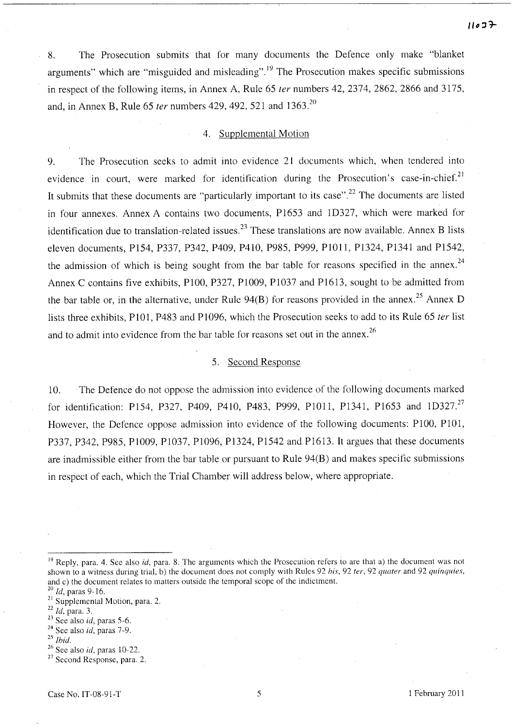8. The Prosecution submits that for many documents the Defence only make "blanket arguments" which are "misguided and misleading".<sup>19</sup> The Prosecution makes specific submissions in respect of the following items, in Annex A, Rule 65 *ter* numbers 42, 2374, 2862, 2866 and 3175, and, in Annex B, Rule 65 *ter* numbers 429, 492, 521 and 1363. <sup>20</sup>

## 4. Supplemental Motion

9. The Prosecution seeks to admit into evidence 21 documents which, when tendered into evidence in court, were marked for identification during the Prosecution's case-in-chief.<sup>21</sup> It submits that these documents are "particularly important to its case".<sup>22</sup> The documents are listed in four annexes. Annex A contains two documents, Pl653 and ID327, which were marked for identification due to translation-related issues.<sup>23</sup> These translations are now available. Annex B lists eleven documents, P154, P337, P342, P409, P41O, P985, P999, PIOII, P1324, P1341 and P1542, the admission of which is being sought from the bar table for reasons specified in the annex.<sup>24</sup> Annex C contains five exhibits, PIOO, P327, PIO09, PI037 and PI613, sought to be admitted from the bar table or, in the alternative, under Rule  $94(B)$  for reasons provided in the annex.<sup>25</sup> Annex D lists three exhibits, PIOI, P483 and P1096, which the Prosecution seeks to add to its Rule 65 *ter* list and to admit into evidence from the bar table for reasons set out in the annex.<sup>26</sup>

# 5. Second Response

10. The Defence do not oppose the admission into evidence of the following documents marked for identification: P154, P327, P409, P410, P483, P999, P1011, P1341, P1653 and 1D327.<sup>27</sup> However, the Defence oppose admission into evidence of the following documents: PIOO, PIOI, P337, P342, P985, PIO09, P1037, P1096, P1324, Pl542 and P1613. It argues that these documents are inadmissible either from the bar table or pursuant to Rule 94(B) and makes specific submissions in respect of each, which the Trial Chamber will address below, where appropriate.

- *25 Ihid.*
- 26 See also id, paras 10-22.
- <sup>27</sup> Second Response, para. 2.

<sup>&</sup>lt;sup>19</sup> Reply, para. 4. See also *id*, para. 8. The arguments which the Prosecution refers to are that a) the document was not shown to a witness during trial, b) the document does not comply with Rules 92 *his,* 92 *ter,* 92 *quater* and 92 *qllinquies,*  and e) the document relates to matters outside the temporal scope of the indictment.

*<sup>20</sup> Id,* paras 9-16.

<sup>&</sup>lt;sup>21</sup> Supplemental Motion, para. 2.

*<sup>22</sup> Id,* para. 3.

 $23$  See also *id*, paras 5-6.

 $24$  See also *id*, paras 7-9.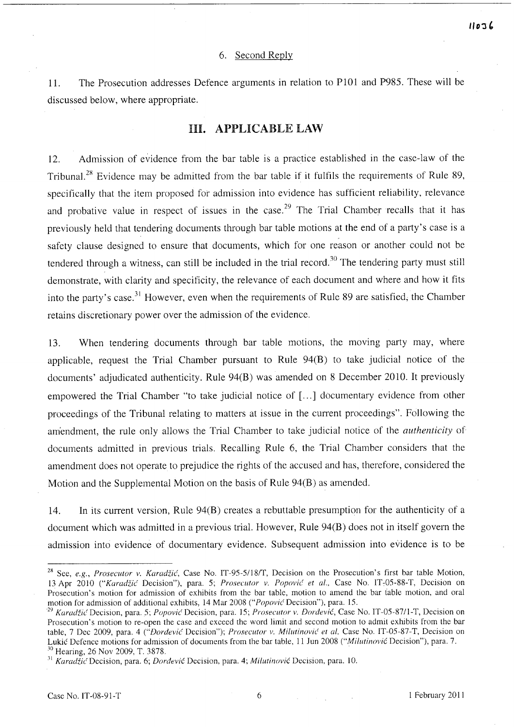## *"0:1'*

#### 6. Second Reply

1l. The Prosecution addresses Defence arguments in relation to P101 and P985. These will be discussed below, where appropriate.

### HI. APPLICABLE LAW

12. Admission of evidence from the bar table is a practice established in the case-law of the Tribunal.<sup>28</sup> Evidence may be admitted from the bar table if it fulfils the requirements of Rule 89, specifically that the item proposed for admission into evidence has sufficient reliability, relevance and probative value in respect of issues in the case.<sup>29</sup> The Trial Chamber recalls that it has previously held that tendering documents through bar table motions at the end of a party's case is a safety clause designed to ensure that documents, which for one reason or another could not be tendered through a witness, can still be included in the trial record.<sup>30</sup> The tendering party must still demonstrate, with clarity and specificity, the relevance of each document and where and how it fits into the party's case.<sup>31</sup> However, even when the requirements of Rule 89 are satisfied, the Chamber retains discretionary power over the admission of the evidence.

13. When tendering documents through bar table motions, the moving party may, where applicable, request the Trial Chamber pursuant to Rule 94(B) to take judicial notice of the documents' adjudicated authenticity. Rule 94(B) was amended on 8 December 2010. It previously empowered the Trial Chamber "to take judicial notice of [...] documentary evidence from other proceedings of the Tribunal relating to matters at issue in the current proceedings". Following the am'endment, the rule only allows the Trial Chamber to take judicial notice of the *authenticity* of documents admitted in previous trials. Recalling Rule 6, the Trial Chamber considers that the amendment does not operate to prejudice the rights of the accused and has, therefore, considered the Motion and the Supplemental Motion on the basis of Rule 94(B) as amended.

14. In its current version, Rule 94(B) creates a rebuttable presumption for the authenticity of a document which was admitted in a previous trial. However, Rule 94(B) does not in itself govern the admission into evidence of documentary evidence. Subsequent admission into evidence is to be

<sup>&</sup>lt;sup>28</sup> See, *e.g., Prosecutor v. Karadžić*, Case No. IT-95-5/18/T, Decision on the Prosecution's first bar table Motion, 13 Apr 2010 *("Karadiic* Decision"), para. 5; *Prosecutor v. Popovic et al.,* Case No. IT~05-SS-T, Decision on Prosecution's motion for admission of exhibits from the bar table, motion to amend the bar table motion, and oral motion for admission of additional exhibits, 14 Mar 2008 ("Popović Decision"), para. 15.

<sup>&</sup>lt;sup>29</sup> Karadžić Decision, para. 5; *Popović* Decision, para. 15; *Prosecutor v. Đorđević*, Case No. IT-05-87/1-T, Decision on Prosecution's motion to re-open the case and exceed the word limit and second motion to admit exhibits from the bar table, 7 Dec 2009, para. 4 ("*Dordević Decision"); Prosecutor v. Milutinović et al*, Case No. IT-05-87-T, Decision on Lukic Defence motions for admission of documents from the bar table, 11 Jun 200S *("Millltinovic* Decision"), para. 7. 30 Hearing, 26 Nov 2009, T. 3S78.

<sup>&</sup>lt;sup>31</sup> Karadžić Decision, para. 6; *Dorđević Decision, para. 4; Milutinović Decision, para.* 10.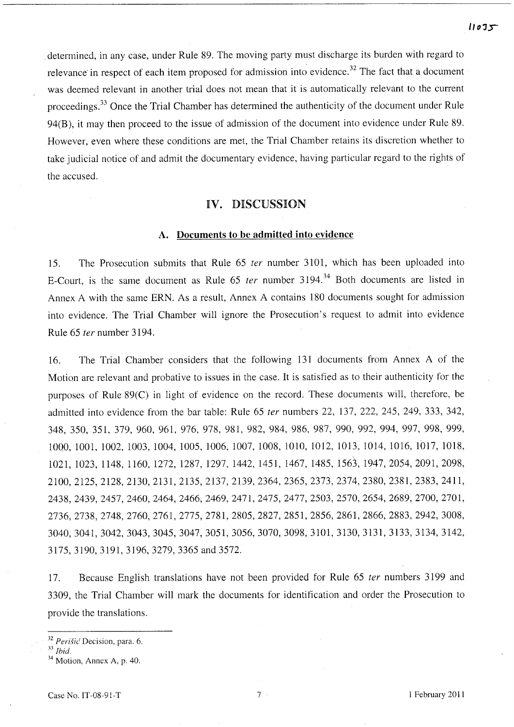$11075$ 

determined, in any case, under Rule 89. The moving party must discharge its burden with regard to relevance in respect of each item proposed for admission into evidence.<sup>32</sup> The fact that a document was deemed relevant in another trial does not mean that it is automatically relevant to the current proceedings.<sup>33</sup> Once the Trial Chamber has determined the authenticity of the document under Rule 94(B), it may then proceed to the issue of admission of the document into evidence under Rule 89. However, even where these conditions are met, the Trial Chamber retains its discretion whether to take judicial notice of and admit the documentary evidence, having particular regard to the rights of the accused.

## IV. DISCUSSION

#### A. Documents to be admitted into evidence

15. The Prosecution submits that Rule 65 *ter* number 3101, which has been uploaded into E-Court, is the same document as Rule 65 *ter* number 3194.<sup>34</sup> Both documents are listed in Annex A with the same ERN. As a result, Annex A contains 180 documents sought for admission into evidence. The Trial Chamber will ignore the Prosecution's request to admit into evidence Rule 65 *ter* number 3194.

16. The Trial Chamber considers that the following 131 documents from Annex A of the Motion are relevant and probative to issues in the case. It is satisfied as to their authenticity for the purposes of Rule 89(C) in light of evidence on the record. These documents will, therefore, be admitted into evidence from the bar table: Rule 65 *ter* numbers 22, 137, 222, 245, 249, 333, 342, 348, 350, 351, 379, 960, 961, 976, 978, 981, 982, 984, 986, 987, 990, 992, 994, 997, 998, 999, 1000, 1001, 1002, 1003, 1004, 1005, 1006, 1007, 1008, 1010, 1012, 1013, 1014, 1016, 1Ol7, 1018, 1021, 1023, 1148, 1160, 1272, 1287, 1297, 1442, 1451, 1467, 1485, 1563, 1947,2054,2091,2098, 2100,2125,2128,2130,2131,2135,2137,2139,2364, 2365, 2373, 2374, 2380, 2381, 2383, 2411, 2438,2439,2457,2460,2464,2466,2469,2471,2475, 2477, 2503, 2570, 2654, 2689, 2700, 2701, 2736,2738,2748,2760,2761,2775,2781,2805,2827, 2851, 2856, 2861, 2866, 2883, 2942, 3008, 3040,3041,3042,3043,3045,3047,3051,3056,3070, 3098, 3101, 3130, 3131, 3133, 3134, 3142, 3l75, 3190, 3191, 3196, 3279, 3365 and 3572.

17. Because English translations have not been provided for Rule 65 *ter* numbers 3199 and 3309, the Trial Chamber will mark the documents for identification and order the Prosecution to provide the translations.

<sup>&</sup>lt;sup>32</sup> Perišić Decision, para. 6.

<sup>11</sup>*Ihid.* 

 $34$  Motion, Annex A, p. 40.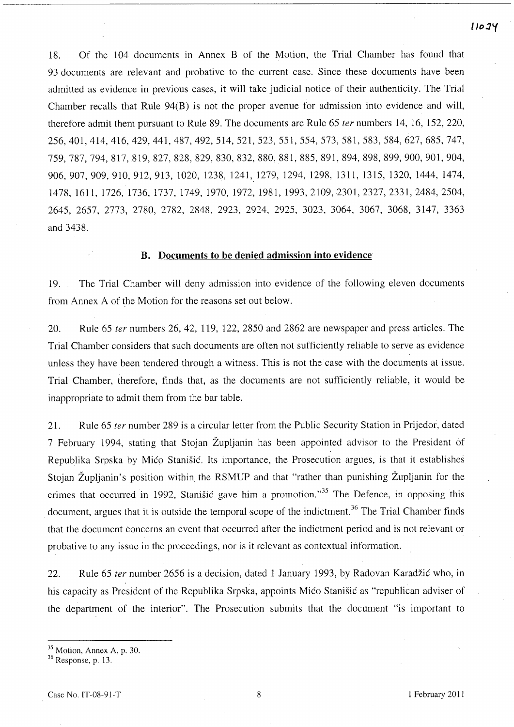18. Of the 104 documents in Annex B of the Motion, the Trial Chamber has found that 93 documents are relevant and probative to the current case. Since these documents have been admitted as evidence in previous cases, it will take judicial notice of their authenticity. The Trial Chamber recalls that Rule 94(B) is not the proper avenue for admission into evidence and will, therefore admit them pursuant to Rule 89. The documents are Rule 65 *ter* numbers 14, 16, 152,220, 256,401,414,416,429,441,487,492,514,521,523,551, 554, 573,581,583,584,627, 685, 747, 759,787,794,817,819,827,828,829,830,832,880,881, 885, 891, 894, 898, 899,900, 901, 904, 906, 907, 909, 910, 912, 913, 1020, 1238, 1241, 1279, 1294, 1298, 1311, 1315, 1320, 1444, 1474, 1478,1611, l726, 1736, l737, 1749, 1970, 1972, 1981, 1993,2109,2301,2327,2331,2484,2504, 2645, 2657, 2773, 2780, 2782, 2848, 2923, 2924, 2925, 3023, 3064, 3067, 3068, 3147, 3363 and 3438.

#### **B. Documents to be denied admission into evidence**

19. The Trial Chamber will deny admission into evidence of the following eleven documents from Annex A of the Motion for the reasons set out below.

20. Rule 65 *ter* numbers 26, 42, 119, 122, 2850 and 2862 are newspaper and press articles. The Trial Chamber considers that such documents are often not sufficiently reliable to serve as evidence unless they have been tendered through a witness. This is not the case with the documents at issue. Trial Chamber, therefore, finds that, as the documents are not sufficiently reliable, it would be inappropriate to admit them from the bar table.

21. Rule 65 *ter* number 289 is a circular letter from the Public Security Station in Prijedor, dated 7 February 1994, stating that Stojan Zupljanin has been appointed advisor to the President of Republika Srpska by Mico Stanisic. Its importance, the Prosecution argues, is that it establishes Stojan Župljanin's position within the RSMUP and that "rather than punishing Župljanin for the crimes that occurred in 1992, Stanisic gave him a promotion.<sup>35</sup> The Defence, in opposing this document, argues that it is outside the temporal scope of the indictment.<sup>36</sup> The Trial Chamber finds that the document concerns an event that occurred after the indictment period and is not relevant or probative to any issue in the proceedings, nor is it relevant as contextual information.

22. Rule 65 *ter* number 2656 is a decision, dated 1 January 1993, by Radovan Karadzic who, in his capacity as President of the Republika Srpska, appoints Mico Stanisic as "republican adviser of the department of the interior". The Prosecution submits that the document "is important to

**I/o** *:1'(* 

<sup>35</sup> Motion, Annex A, p. 30.

<sup>36</sup> Response, p. 13.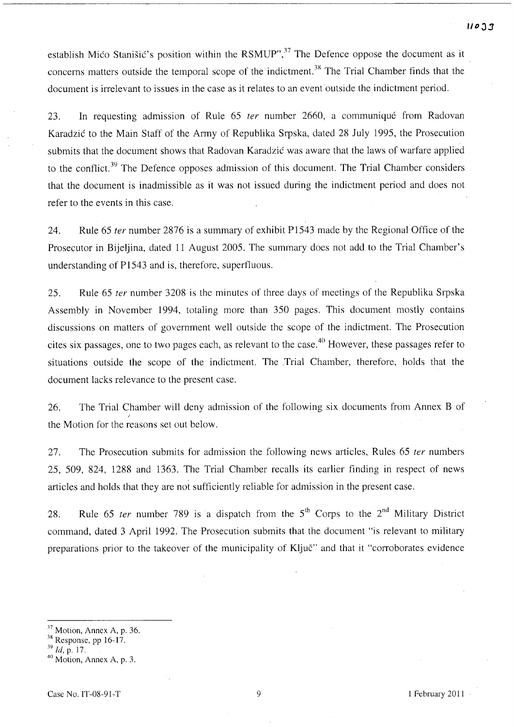establish Mico Stanišic's position within the RSMUP", $37$  The Defence oppose the document as it concerns matters outside the temporal scope of the indictment.<sup>38</sup> The Trial Chamber finds that the document is irrelevant to issues in the case as it relates to an event outside the indictment period.

23. **In** requesting admission of Rule 65 ter number 2660, a communique from Radovan Karadzic to the Main Staff of the Army of Republika Srpska, dated 28 July 1995, the Prosecution submits that the document shows that Radovan Karadzic was aware that the laws of warfare applied to the conflict.<sup>39</sup> The Defence opposes admission of this document. The Trial Chamber considers that the document is inadmissible as it was not issued during the indictment period and does not refer to the events in this case.

24. Rule 65 *ter* number 2876 is a summary of exhibit P1543 made by the Regional Office of the Prosecutor in Bijeljina, dated 11 August 2005. The summary does not add to the Trial Chamber's understanding of P1543 and is, therefore, superfluous.

25. Rule 65 ter number 3208 is the minutes of three days of meetings of the Republika Srpska Assembly in November 1994, totaling more than 350 pages. This document mostly contains discussions on matters of government well outside the scope of the indictment. The Prosecution cites six passages, one to two pages each, as relevant to the case. 40 However, these passages refer to situations outside the scope of the indictment. The Trial Chamber, therefore, holds that the document lacks relevance to the present case.

26. The Trial Chamber will deny admission of the following six documents from Annex B of the Motion for the reasons set out below.

27. The Prosecution submits for admission the following news articles, Rules 65 ter numbers 25, 509, 824, 1288 and 1363. The Trial Chamber recalls its earlier finding in respect of news articles and holds that they are not sufficiently reliable for admission in the present case.

28. Rule 65 ter number 789 is a dispatch from the  $5<sup>th</sup>$  Corps to the  $2<sup>nd</sup>$  Military District command, dated 3 April 1992. The Prosecution submits that the document "is relevant to military preparations prior to the takeover of the municipality of Kljuc" and that it "corroborates evidence

 $37$  Motion, Annex A, p. 36.

 $38$  Response, pp 16-17.

*<sup>39</sup> Id,* p. 17.

 $40$  Motion, Annex A, p. 3.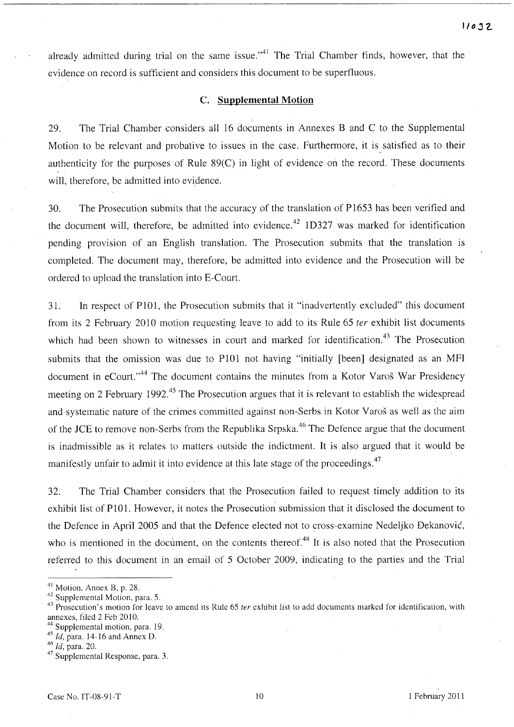already admitted during trial on the same issue."<sup>41</sup> The Trial Chamber finds, however, that the evidence on record is sufficient and considers this document to be superfluous.

#### C. **Supplemental Motion**

29. The Trial Chamber considers all 16 documents in Annexes Band C to the Supplemental Motion to be relevant and probative to issues in the case. Furthermore, it is satisfied as to their authenticity for the purposes of Rule 89(C) in light of evidence on the record. These documents will, therefore, be admitted into evidence.

30. The Prosecution submits that the accuracy of the translation of P1653 has been verified and the document will, therefore, be admitted into evidence.<sup>42</sup> 1D327 was marked for identification pending provision of an English translation. The Prosecution submits that the translation is completed. The document may, therefore, be admitted into evidence and the Prosecution will be ordered to upload the translation into E-Court.

31. In respect of PIOI, the Prosecution submits that it "inadvertently excluded" this document from its 2 February 2010 motion requesting leave to add to its Rule 65 *ter* exhibit list documents which had been shown to witnesses in court and marked for identification.<sup>43</sup> The Prosecution submits that the omission was due to PIOI not having "initially [been] designated as an MFI document in eCourt."<sup>44</sup> The document contains the minutes from a Kotor Varoš War Presidency meeting on 2 February 1992.<sup>45</sup> The Prosecution argues that it is relevant to establish the widespread and systematic nature of the crimes committed against non-Serbs in Kotor Varos as well as the aim of the JCE to remove non-Serbs from the Republika Srpska.<sup>46</sup> The Defence argue that the document is inadmissible as it relates to matters outside the indictment. It is also argued that it would be manifestly unfair to admit it into evidence at this late stage of the proceedings.<sup>47</sup>

32. The Trial Chamber considers that the Prosecution failed to request timely addition to its exhibit list of PIOl. However, it notes the Prosecution submission that it disclosed the document to the Defence in April 2005 and that the Defence elected not to cross-examine Nedeljko Dekanovic, who is mentioned in the document, on the contents thereof.<sup>48</sup> It is also noted that the Prosecution referred to this document in an email of 5 October 2009, indicating to the parties and the Trial

<sup>41</sup> Motion; Annex B, p. 28.

<sup>42</sup> Supplemental Motion, para. 5.

Prosecution's motion for leave to amend its Rule 65 ter exhibit list to add documents marked for identification, with annexes, filed 2 Feb 2010.

<sup>&</sup>lt;sup>44</sup> Supplemental motion, para. 19.

<sup>45</sup>*Id,* para. 14-16 and Annex D.

<sup>&</sup>lt;sup>46</sup> *Id*, para. 20.

<sup>&</sup>lt;sup>47</sup> Supplemental Response, para. 3.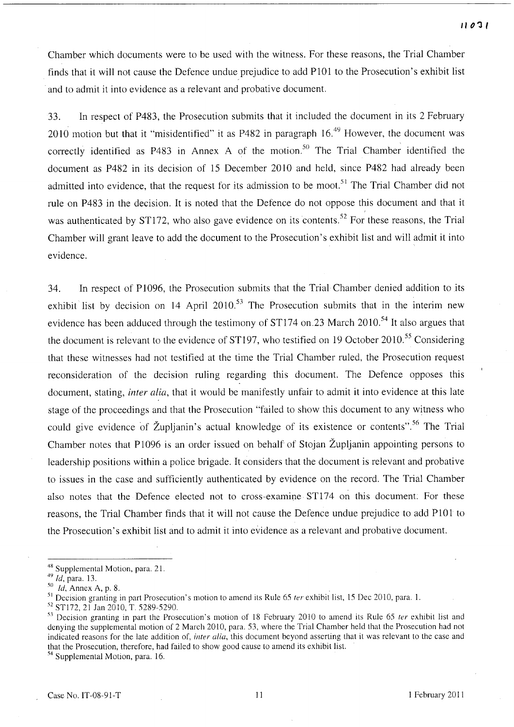Chamber which documents were to be used with the witness. For these reasons, the Trial Chamber finds that it will not cause the Defence undue prejudice to add PlOl to the Prosecution's exhibit list and to admit it into evidence as a relevant and probative document.

33. In respect of P483, the Prosecution submits that it included the document in its 2 February 2010 motion but that it "misidentified" it as P482 in paragraph 16.<sup>49</sup> However, the document was correctly identified as P483 in Annex A of the motion.<sup>50</sup> The Trial Chamber identified the document as P482 in its decision of 15 December 2010 and held, since P482 had already been admitted into evidence, that the request for its admission to be moot.<sup>51</sup> The Trial Chamber did not rule on P483 in the decision. It is noted that the Defence do not oppose this document and that it was authenticated by ST172, who also gave evidence on its contents.<sup>52</sup> For these reasons, the Trial Chamber will grant leave to add the document to the Prosecution's exhibit list and will admit it into evidence.

34. In respect of P1096, the Prosecution submits that the Trial Chamber denied addition to its exhibit list by decision on 14 April 2010.<sup>53</sup> The Prosecution submits that in the interim new evidence has been adduced through the testimony of ST174 on.23 March 2010.<sup>54</sup> It also argues that the document is relevant to the evidence of ST197, who testified on 19 October 2010.<sup>55</sup> Considering that these witnesses had not testified at the time the Trial Chamber ruled, the Prosecution request reconsideration of the decision ruling regarding this document. The Defence opposes this document, stating, *inter alia,* that it would be manifestly unfair to admit it into evidence at this late stage of the proceedings and that the Prosecution "failed to show this document to any witness who could give evidence of Župljanin's actual knowledge of its existence or contents".<sup>56</sup> The Trial Chamber notes that P1096 is an order issued on behalf of Stojan Zupljanin appointing persons to leadership positions within a police brigade. It considers that the document is relevant and probative to issues in the case and sufficiently authenticated by evidence on the record. The Trial Chamber also notes that the Defence elected not to cross-examine ST174 on this document. For these reasons, the Trial Chamber finds that it will not cause the Defence undue prejudice to add PlOl to the Prosecution's exhibit list and to admit it into evidence as a relevant and probative document.

<sup>&</sup>lt;sup>48</sup> Supplemental Motion, para. 21.

*<sup>49</sup> Id,* para. 13.

<sup>50</sup>*Id,* Annex A, p. 8. .

<sup>&</sup>lt;sup>51</sup> Decision granting in part Prosecution's motion to amend its Rule 65 *ter* exhibit list, 15 Dec 2010, para. 1.

<sup>52</sup> STI72, 21 Jan 2010, T. 5289-5290.

 $53$  Decision granting in part the Prosecution's motion of 18 February 2010 to amend its Rule 65 ter exhibit list and denying the supplemental motion of 2 March 2010, para. 53, where the Trial Chamber held that the Prosecution had not indicated reasons for the late addition of, inter alia, this document beyond asserting that it was relevant to the case and that the Prosecution, therefore, had failed to show good cause to amend its exhibit list.

<sup>54</sup> Supplemental Motion, para. 16.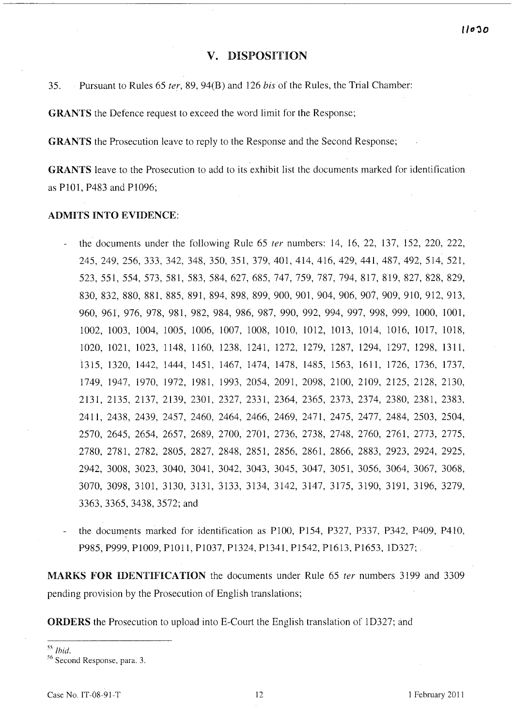#### **v.** DISPOSITION

35. Pursuant to Rules 65 *ter,* 89, 94(B) and 126 *bisof* the Rules, the Trial Chamber:

GRANTS the Defence request to exceed the word limit for the Response;

GRANTS the Prosecution leave to reply to the Response and the Second Response;

GRANTS leave to the Prosecution to add to its exhibit list the documents marked for identification as P101, P483 and P1096;

#### ADMITS INTO EVIDENCE:

- the documents under the following Rule 65 *ter* numbers: 14, 16, 22, 137, 152, 220, 222, 245,249,256,333,342,348,350,351,379,401,414,416, 429, 441, 487, 492, 514, 521, 523, 551, 554, 573, 581, 583, 584, 627, 685, 747, 759, 787, 794, 817, 819, 827, 828, 829, 830, 832, 880, 881, 885, 891, 894, 898, 899, 900, 901, 904, 906, 907, 909, 910, 912, 913, 960, 961, 976, 978, 981, 982, 984, 986, 987, 990, 992, 994, 997, 998, 999, 1000, 1001, 1002, 1003, 1004, 1005, 1006, 1007, 1008, 1010, 1012, 1013, 1014, 1016, 1017, 1018, 1020, 1021, 1023, 1148, 1160, 1238, 1241, 1272, 1279, 1287, 1294, 1297, 1298, 1311, 1315,1320,1442,1444,1451,1467,1474,1478,1485, 1563, 1611, 1726,1736,1737, 1749, 1947, 1970, 1972, 1981, 1993, 2054, 2091, 2098, 2100, 2109, 2125, 2128, 2130, 2131, 2135, 2137, 2139, 2301, 2327, 2331, 2364, 2365, 2373, 2374, 2380, 2381, 2383, 2411,2438,2439,2457,2460,2464,2466, 2469, 2471, 2475, 2477, 2484,2503,2504, 2570, 2645, 2654, 2657, 2689, 2700, 2701, 2736, 2738, 2748, 2760, 2761, 2773, 2775, 2780, 2781, 2782, 2805, 2827, 2848, 2851, 2856, 2861, 2866, 2883, 2923, 2924, 2925, 2942, 3008, 3023, 3040, 3041, 3042, 3043, 3045, 3047, 3051, 3056, 3064, 3067, 3068, 3070, 3098, 3101, 3130, 3131, 3133, 3134, 3142, 3147, 3175, 3190, 3191, 3196, 3279, 3363,3365,3438,3572;and
- the documents marked for identification as P100, P154, P327, P337, P342, P409, P41O, P985, P999, P1009, P1011, P1037, P1324, P1341, P1542, P1613, P1653, 1D327;

MARKS FOR IDENTIFICATION the documents under Rule 65 *ter* numbers 3199 and 3309 pending provision by the Prosecution of English translations;

ORDERS the Prosecution to upload into E-Court the English translation of ID327; and

<sup>55</sup> *Ibid.* 

<sup>56</sup> Second Response, para. 3.